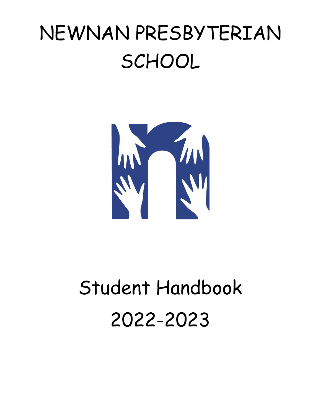# NEWNAN PRESBYTERIAN **SCHOOL**



# Student Handbook 2022-2023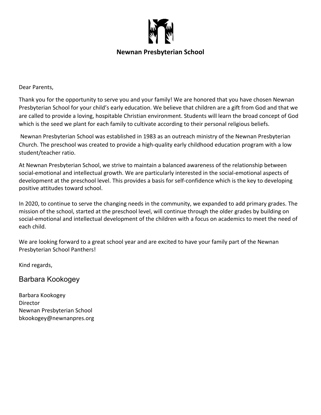

#### **Newnan Presbyterian School**

Dear Parents,

Thank you for the opportunity to serve you and your family! We are honored that you have chosen Newnan Presbyterian School for your child's early education. We believe that children are a gift from God and that we are called to provide a loving, hospitable Christian environment. Students will learn the broad concept of God which is the seed we plant for each family to cultivate according to their personal religious beliefs.

 Newnan Presbyterian School was established in 1983 as an outreach ministry of the Newnan Presbyterian Church. The preschool was created to provide a high-quality early childhood education program with a low student/teacher ratio.

At Newnan Presbyterian School, we strive to maintain a balanced awareness of the relationship between social-emotional and intellectual growth. We are particularly interested in the social-emotional aspects of development at the preschool level. This provides a basis for self-confidence which is the key to developing positive attitudes toward school.

In 2020, to continue to serve the changing needs in the community, we expanded to add primary grades. The mission of the school, started at the preschool level, will continue through the older grades by building on social-emotional and intellectual development of the children with a focus on academics to meet the need of each child.

We are looking forward to a great school year and are excited to have your family part of the Newnan Presbyterian School Panthers!

Kind regards,

Barbara Kookogey

Barbara Kookogey **Director** Newnan Presbyterian School bkookogey@newnanpres.org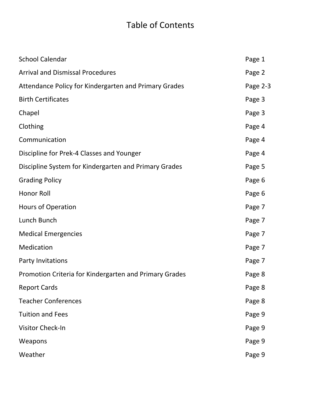### Table of Contents

| <b>School Calendar</b>                                 | Page 1   |
|--------------------------------------------------------|----------|
| <b>Arrival and Dismissal Procedures</b>                | Page 2   |
| Attendance Policy for Kindergarten and Primary Grades  | Page 2-3 |
| <b>Birth Certificates</b>                              | Page 3   |
| Chapel                                                 | Page 3   |
| Clothing                                               | Page 4   |
| Communication                                          | Page 4   |
| Discipline for Prek-4 Classes and Younger              | Page 4   |
| Discipline System for Kindergarten and Primary Grades  | Page 5   |
| <b>Grading Policy</b>                                  | Page 6   |
| Honor Roll                                             | Page 6   |
| Hours of Operation                                     | Page 7   |
| Lunch Bunch                                            | Page 7   |
| <b>Medical Emergencies</b>                             | Page 7   |
| Medication                                             | Page 7   |
| Party Invitations                                      | Page 7   |
| Promotion Criteria for Kindergarten and Primary Grades | Page 8   |
| <b>Report Cards</b>                                    | Page 8   |
| <b>Teacher Conferences</b>                             | Page 8   |
| <b>Tuition and Fees</b>                                | Page 9   |
| Visitor Check-In                                       | Page 9   |
| Weapons                                                | Page 9   |
| Weather                                                | Page 9   |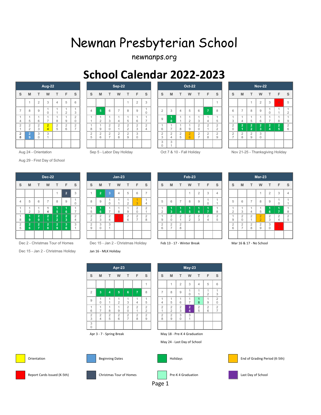## Newnan Presbyterian School

newnanps.org

### **School Calendar 2022-2023**

|                                       |               |                     | Aug-22                               |                     |                                       |                                       |                      |
|---------------------------------------|---------------|---------------------|--------------------------------------|---------------------|---------------------------------------|---------------------------------------|----------------------|
| S                                     | M             | T                   | W                                    | T                   | F                                     | S                                     | $\ddot{\phantom{0}}$ |
|                                       | 1             | $\overline{2}$      | 3                                    | $\overline{4}$      | 5                                     | 6                                     |                      |
| $\overline{7}$                        | 8             | 9                   | $\begin{matrix} 1 \\ 0 \end{matrix}$ | 1<br>1              | $\begin{array}{c} 1 \\ 2 \end{array}$ | $\begin{array}{c} 1 \\ 3 \end{array}$ | ż                    |
| 1<br>4                                | 1<br>5        | 1<br>6              | 1<br>7                               | $\overline{1}$<br>8 | $\begin{array}{c} 1 \\ 9 \end{array}$ | $\begin{array}{c} 2 \\ 0 \end{array}$ | ł<br>í               |
| $\begin{array}{c} 2 \\ 1 \end{array}$ | $\frac{2}{2}$ | $\frac{2}{3}$       | $\frac{2}{4}$                        | $\frac{2}{5}$       | $\begin{array}{c} 2 \\ 6 \end{array}$ | $\frac{2}{7}$                         | í<br>Ş               |
| $\begin{array}{c} 2 \\ 8 \end{array}$ | $\frac{2}{9}$ | 3<br>$\overline{0}$ | 3<br>$\overline{1}$                  |                     |                                       |                                       | $\frac{1}{2}$        |
|                                       |               |                     |                                      |                     |                                       |                                       |                      |

Aug 29 - First Day of School

|                |                     |                                  | <b>Dec-22</b>                |                                           |                              |                     |               |                              |         |
|----------------|---------------------|----------------------------------|------------------------------|-------------------------------------------|------------------------------|---------------------|---------------|------------------------------|---------|
| S              | M                   | Т                                | W                            | т                                         | F                            | S                   | S             | M                            | Ĩ       |
|                |                     |                                  |                              | 1                                         | $\overline{2}$               | 3                   | 1             | $\overline{\mathbf{2}}$      |         |
| $\overline{4}$ | 5                   | 6                                | $\overline{7}$               | 8                                         | 9                            | 1<br>$\overline{0}$ | 8             | 9                            | ł,<br>Ι |
| 1<br>1         | 1<br>$\overline{2}$ | 1<br>3                           | 1<br>4                       | 1<br>5                                    | 1<br>6                       | 1<br>$\overline{7}$ | 1<br>5        | 1<br>6                       | í<br>1  |
| 1<br>8         | 1<br>9              | $\overline{2}$<br>$\mathbf{0}$   | $\frac{2}{1}$                | $\overline{\mathbf{c}}$<br>$\overline{2}$ | $\overline{\mathbf{2}}$<br>3 | $\frac{2}{4}$       | $\frac{2}{2}$ | $\overline{\mathbf{c}}$<br>3 | í<br>é  |
| $\frac{2}{5}$  | $\overline{2}$<br>6 | $\overline{2}$<br>$\overline{7}$ | $\overline{\mathbf{2}}$<br>8 | $\overline{2}$<br>9                       | 3<br>$\mathbf{0}$            | 3<br>$\overline{1}$ | $\frac{2}{9}$ | 3<br>$\mathbf 0$             | í<br>ł, |
|                |                     |                                  |                              |                                           |                              |                     |               |                              |         |

Dec 2 - Christmas Tour of Homes Dec 15 - Jan 2 - Christmas Holiday Feb 13 - 17 - Winter Break Mar 16 & 17 - No School

Dec 15 - Jan 2 - Christmas Holiday Jan 16 - MLK Holiday

|                     |                                  |                     |                          |                                                 |                     |                              | UUNUU HUNUNGI LULL LULU |                |                                 |                    |                  |                             |                  |                    |                          |                    |                |                                 |                  |                       |                    |                          |              |                |                |                                  |        |
|---------------------|----------------------------------|---------------------|--------------------------|-------------------------------------------------|---------------------|------------------------------|-------------------------|----------------|---------------------------------|--------------------|------------------|-----------------------------|------------------|--------------------|--------------------------|--------------------|----------------|---------------------------------|------------------|-----------------------|--------------------|--------------------------|--------------|----------------|----------------|----------------------------------|--------|
|                     |                                  |                     | Aug-22                   |                                                 |                     |                              |                         |                |                                 | Sep-22             |                  |                             |                  |                    |                          |                    | <b>Oct-22</b>  |                                 |                  |                       |                    |                          |              | <b>Nov-22</b>  |                |                                  |        |
| s.                  | <b>M</b>                         | $-$ T $-$           | W                        | T                                               | F.                  | s                            | S.                      | M              | T                               | W                  | T                | F.                          | s                | S                  | M                        | T                  | W              | $\top$                          | F.               | S                     | <sub>S</sub>       | M                        |              | W              | T.             | F                                | -S     |
|                     | $\overline{A}$                   | 2                   | 3                        |                                                 | 5                   | 6                            |                         |                |                                 |                    |                  | $\mathcal{L}$<br>∠          | 3                |                    |                          |                    |                |                                 |                  |                       |                    |                          |              | $\overline{2}$ | $\mathbf{3}$   | $\overline{4}$                   | 5      |
| $\overline{ }$      | 8                                | 9                   |                          |                                                 | $\sim$<br>∠         | 3                            | $\overline{4}$          | 5 <sub>5</sub> | 6                               | $\rightarrow$      | 8                | 9                           | $\mathbf 0$      | $\Omega$<br>∠      | 3                        |                    | 5              | 6                               | $\overline{7}$   | 8                     | 6                  | $\overline{\phantom{a}}$ | 8            | 9              | $\mathbf{0}$   |                                  | $\sim$ |
| 4                   | $\overline{A}$<br>5              | 6                   | $\overline{\phantom{a}}$ | 8                                               | 9                   | $\sim$<br>0                  |                         | $\sim$         | 3                               | 4                  | .b               | 6                           | $\rightarrow$    | 9                  |                          |                    | $\overline{2}$ | 3                               | 4                | b                     | 3                  | 4                        | <sub>5</sub> | 6              | $\rightarrow$  | 8                                | 9      |
| 2                   | $\overline{2}$<br>$\overline{2}$ | $\overline{2}$<br>3 | $\overline{2}$           | $\overline{2}$<br>$\overline{\phantom{0}}$<br>5 | $\overline{2}$<br>6 | $\sim$<br>ے<br>$\rightarrow$ | 8                       | 9              | 2                               | $\overline{2}$     | $\sim$<br>$\sim$ | $\sim$<br>∠<br>$\sim$<br>J. | $\sim$<br>∠<br>4 | 6                  | $\overline{\phantom{a}}$ | 8                  | 9              | $\overline{2}$<br>$\Omega$      | $\Omega$         | $\sim$<br>∠<br>$\sim$ | $\overline{2}$     | $\overline{2}$           |              | 12.            | $\overline{2}$ | $\overline{2}$<br>5 <sub>5</sub> | 2<br>6 |
| $\overline{2}$<br>8 | $\mathbf{2}^{\mathsf{T}}$<br>9   | 3<br>$\mathbf 0$    | 3                        |                                                 |                     |                              | $\sim$<br>5             | $\sim$<br>6    | $\overline{2}$<br>$\rightarrow$ | $\Omega$<br>∠<br>8 | $\sim$<br>9      | $\sim$                      |                  | $\Omega$<br>∼<br>3 | $\sim$                   | $\mathcal{L}$<br>5 | $\Omega$<br>6  | $\overline{2}$<br>$\rightarrow$ | $\sim$<br>∼<br>8 | $\sim$<br>∼<br>$\sim$ | 2<br>$\rightarrow$ | $\sim$<br>8              | $\sim$<br>9  | 3<br>$\Omega$  |                |                                  |        |
|                     |                                  |                     |                          |                                                 |                     |                              |                         |                |                                 |                    |                  |                             |                  | 3<br>$\mathbf{0}$  | 3                        |                    |                |                                 |                  |                       |                    |                          |              |                |                |                                  |        |

| Aug 24 - Orientation | Sep 5 - Labor Day Holiday |  |
|----------------------|---------------------------|--|
|                      |                           |  |

| Oct 7 & 10 - Fall Holiday |  |  |  |  |  |  |
|---------------------------|--|--|--|--|--|--|

| Nov 21-25 - Thanksgiving Holiday |  |
|----------------------------------|--|

|                              |               |                              |                                  | $Jan-23$       |                     |                                  |                                       |                                       |   |
|------------------------------|---------------|------------------------------|----------------------------------|----------------|---------------------|----------------------------------|---------------------------------------|---------------------------------------|---|
| S                            | S             | M                            | т                                | W              | Т                   | F                                | S                                     | S                                     | ľ |
| 3                            | 1             | $\overline{2}$               | 3                                | $\overline{4}$ | 5                   | 6                                | 7                                     |                                       |   |
| 1<br>0                       | 8             | 9                            | 1<br>$\Omega$                    | 1<br>1         | 1<br>$\overline{2}$ | 1<br>3                           | 1<br>$\overline{4}$                   | 5                                     | ł |
| 1<br>7                       | 1<br>5        | 1<br>6                       | $\mathbf{1}$<br>$\overline{7}$   | 1<br>8         | 1<br>9              | $\overline{2}$<br>$\mathbf 0$    | $\overline{2}$<br>1                   | $\begin{array}{c} 1 \\ 2 \end{array}$ |   |
| $\overline{\mathbf{c}}$<br>4 | $\frac{2}{2}$ | $\overline{\mathbf{c}}$<br>3 | $\overline{2}$<br>$\overline{4}$ | $\frac{2}{5}$  | $\overline{2}$<br>6 | $\overline{2}$<br>$\overline{7}$ | $\begin{array}{c} 2 \\ 8 \end{array}$ | 1<br>9                                | ł |
| 3<br>1                       | $\frac{2}{9}$ | 3<br>$\overline{0}$          | 3<br>$\overline{1}$              |                |                     |                                  |                                       | $\frac{2}{6}$                         | í |

|                     |                                  |                     | Apr-23              |                                  |                     |                                  |                     |                                  |                     | <b>May-23</b>       |                     |                     |  |
|---------------------|----------------------------------|---------------------|---------------------|----------------------------------|---------------------|----------------------------------|---------------------|----------------------------------|---------------------|---------------------|---------------------|---------------------|--|
| S                   | M                                | т                   | W                   | T                                | F                   | S                                | S                   | M                                | T                   | W                   | т                   | F                   |  |
|                     |                                  |                     |                     |                                  |                     | 1                                |                     | 1                                | $\overline{2}$      | 3                   | $\overline{4}$      | 5                   |  |
| $\overline{2}$      | $\overline{3}$                   | $\overline{4}$      | 5                   | 6                                | $\overline{7}$      | 8                                | 7                   | 8                                | 9                   | 1<br>$\mathbf 0$    | 1<br>1              | 1<br>$\overline{2}$ |  |
| 9                   | 1<br>$\Omega$                    | 1<br>1              | 1<br>$\overline{2}$ | 1<br>3                           | 1<br>$\overline{4}$ | 1<br>5                           | 1<br>4              | 1<br>5                           | 1<br>6              | 1<br>7              | 1<br>8              | 1<br>9              |  |
| $\mathbf{1}$<br>6   | 1<br>$\overline{7}$              | 1<br>8              | 1<br>9              | $\overline{2}$<br>$\Omega$       | $\overline{2}$<br>1 | $\overline{2}$<br>$\overline{2}$ | $\overline{2}$<br>1 | $\overline{2}$<br>$\overline{2}$ | $\overline{2}$<br>3 | $\overline{2}$<br>4 | $\overline{2}$<br>5 | $\overline{2}$<br>6 |  |
| $\overline{2}$<br>3 | $\overline{2}$<br>$\overline{4}$ | $\overline{2}$<br>5 | $\overline{2}$<br>6 | $\overline{2}$<br>$\overline{7}$ | $\overline{2}$<br>8 | $\overline{2}$<br>9              | $\overline{2}$<br>8 | $\overline{2}$<br>9              | 3<br>$\mathbf 0$    | 3<br>1              |                     |                     |  |
| 3<br>$\mathbf 0$    |                                  |                     |                     |                                  |                     |                                  |                     |                                  |                     |                     |                     |                     |  |



|             |                                  |                            | <b>Dec-22</b> |                                |                |               |                    |                    |                     | $Jan-23$                     |                       |                                    |                  |                         |                              |                    | Feb-23                           |                  |                            |                                              |                         |                         |                | $Mar-23$                |                     |                                  |                |
|-------------|----------------------------------|----------------------------|---------------|--------------------------------|----------------|---------------|--------------------|--------------------|---------------------|------------------------------|-----------------------|------------------------------------|------------------|-------------------------|------------------------------|--------------------|----------------------------------|------------------|----------------------------|----------------------------------------------|-------------------------|-------------------------|----------------|-------------------------|---------------------|----------------------------------|----------------|
| s i         | M                                | T                          | W             | T.                             | F.             | S             | $\mathbf{s}$       | M                  | T                   | W                            | T                     | F.                                 | s                | S                       | M                            | T.                 | W                                | T.               | F.                         | <sub>S</sub>                                 | <sub>S</sub>            | M                       | T              | W                       |                     | F.                               | $\mathsf{s}$   |
|             |                                  |                            |               | -1                             | $\overline{2}$ | 3             |                    | 2 <sup>7</sup>     | $\mathbf{3}$        | $\overline{4}$               | 5                     | 6                                  | $\rightarrow$    |                         |                              |                    |                                  | 2                | $\mathbf{3}$               | $\overline{4}$                               |                         |                         |                | $\overline{A}$          | 2                   | 3                                | $\overline{4}$ |
| 4           | 5                                | 6                          | $\rightarrow$ | 8                              | 9              |               | 8                  | 9                  |                     |                              | $\sim$                |                                    | 4                | 5                       | 6                            | $\overline{ }$     | 8                                | 9                | $\Omega$                   |                                              | 5                       | 6                       | $\rightarrow$  | 8                       | 9                   |                                  |                |
|             | $\overline{2}$                   | 3                          | 4             | 5 <sup>1</sup>                 | ъ.             | $\rightarrow$ | 5                  | 6                  | $\rightarrow$       | 8                            | 9                     | $\sim$<br>∠<br>$\sim$              | $\sim$<br>∠      | $\sim$                  | -<br>-3                      |                    | -5                               | 6                | $\rightarrow$              | 8                                            | $\sim$<br>∠             | 3                       | $\overline{4}$ | 5                       | 6                   | $\overline{z}$                   | 8              |
| 8           | -9                               | $\sqrt{2}$<br>$\mathbf{0}$ |               | $\mathcal{L}$<br>$\mathcal{L}$ | - 2            | $\sim$        | $\Omega$<br>$\sim$ | $\Omega$<br>∠<br>3 | $\overline{2}$<br>4 | $\overline{2}$<br>$\sqrt{5}$ | $\sim$<br>$6^{\circ}$ | $\sim$<br>$\overline{\phantom{a}}$ | $\sim$<br>∠<br>8 | 9                       | $\sim$                       | $\Omega$           | $\overline{2}$<br>$\overline{2}$ | $\sim$<br>∠<br>3 | $\Omega$<br>$\overline{4}$ | $\sim$<br>▵<br>$\overline{\phantom{a}}$<br>h | 9                       | $\sim$<br>$\sim$        | $\sim$         | $\Omega$<br>$\sim$      | $\overline{2}$<br>3 | $\overline{2}$<br>$\overline{4}$ | $\Omega$<br>5  |
| c<br>۷<br>5 | $\overline{2}$<br>6 <sup>°</sup> | <b>A</b>                   | 8             | $\mathcal{D}$<br>9             | -3<br>0        | 3             | 2<br>9             | 3<br>0             | 3                   |                              |                       |                                    |                  | $\mathcal{L}$<br>▵<br>6 | $\sim$<br>∠<br>$\rightarrow$ | $\Omega$<br>▵<br>8 |                                  |                  |                            |                                              | $\mathcal{L}$<br>∠<br>6 | $\sim$<br>$\rightarrow$ | $\sim$<br>8    | $\mathcal{D}$<br>∠<br>9 | 3<br>$\mathbf 0$    | 3<br>$\overline{A}$              |                |
|             |                                  |                            |               |                                |                |               |                    |                    |                     |                              |                       |                                    |                  |                         |                              |                    |                                  |                  |                            |                                              |                         |                         |                |                         |                     |                                  |                |

|  | h 12 ـ 17 ـ Winter Break |  |
|--|--------------------------|--|
|  |                          |  |

|                     |                                  |                     | Apr-23              |                     |                                  |                                  |                     |                                  |                     | $May-23$                                |                     |                     |                                  |
|---------------------|----------------------------------|---------------------|---------------------|---------------------|----------------------------------|----------------------------------|---------------------|----------------------------------|---------------------|-----------------------------------------|---------------------|---------------------|----------------------------------|
| S                   | M                                | т                   | W                   | T.                  | F                                | S                                | S                   | M                                | T                   | W                                       | T.                  | F                   | S                                |
|                     |                                  |                     |                     |                     |                                  | 1                                |                     | $\mathbf{1}$                     | $\overline{2}$      | 3                                       | $\overline{4}$      | 5                   | 6                                |
| $\overline{2}$      | $\overline{3}$                   | $\overline{4}$      | 5                   | 6                   | 7                                | 8                                | $\overline{7}$      | 8                                | 9                   | 1<br>$\mathbf 0$                        | 1<br>1              | 1<br>$\overline{2}$ | 1<br>3                           |
| 9                   | 1<br>$\mathbf 0$                 | 1<br>1              | 1<br>$\overline{2}$ | 1<br>3              | 1<br>$\overline{4}$              | 1<br>5                           | 1<br>$\overline{4}$ | 1<br>5                           | 1<br>6              | 1<br>7                                  | 1<br>8              | $\mathbf{1}$<br>9   | $\overline{2}$<br>$\mathbf 0$    |
| 1<br>6              | 1<br>7                           | 1<br>8              | 1<br>9              | $\overline{2}$<br>0 | $\overline{2}$<br>$\overline{4}$ | $\overline{2}$<br>$\overline{2}$ | $\overline{2}$<br>и | $\overline{2}$<br>$\overline{2}$ | $\overline{2}$<br>3 | $\mathbf{2}^{\prime}$<br>$\overline{4}$ | $\overline{2}$<br>5 | $\overline{2}$<br>6 | $\overline{2}$<br>$\overline{7}$ |
| $\overline{2}$<br>3 | $\overline{2}$<br>$\overline{4}$ | $\overline{2}$<br>5 | $\overline{2}$<br>6 | $\overline{2}$<br>7 | $\overline{2}$<br>8              | $\overline{2}$<br>$\overline{9}$ | $\overline{2}$<br>8 | 2<br>9                           | 3<br>$\mathbf 0$    | 3<br>1                                  |                     |                     |                                  |
| 3<br>0              |                                  |                     |                     |                     |                                  |                                  |                     |                                  |                     |                                         |                     |                     |                                  |

May 24 - Last Day of School

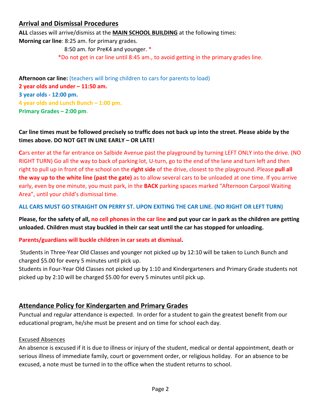#### **Arrival and Dismissal Procedures**

**ALL** classes will arrive/dismiss at the **MAIN SCHOOL BUILDING** at the following times:

**Morning car line**: 8:25 am. for primary grades.

8:50 am. for PreK4 and younger. \*

\*Do not get in car line until 8:45 am., to avoid getting in the primary grades line.

Afternoon car line: (teachers will bring children to cars for parents to load) **2 year olds and under – 11:50 am. 3 year olds - 12:00 pm. 4 year olds and Lunch Bunch – 1:00 pm. Primary Grades – 2:00 pm.**

#### **Car line times must be followed precisely so traffic does not back up into the street. Please abide by the times above. DO NOT GET IN LINE EARLY – OR LATE!**

**C**ars enter at the far entrance on Salbide Avenue past the playground by turning LEFT ONLY into the drive. (NO RIGHT TURN) Go all the way to back of parking lot, U-turn, go to the end of the lane and turn left and then right to pull up in front of the school on the **right side** of the drive, closest to the playground. Please **pull all the way up to the white line (past the gate)** as to allow several cars to be unloaded at one time. If you arrive early, even by one minute, you must park, in the **BACK** parking spaces marked "Afternoon Carpool Waiting Area", until your child's dismissal time.

#### **ALL CARS MUST GO STRAIGHT ON PERRY ST. UPON EXITING THE CAR LINE. (NO RIGHT OR LEFT TURN)**

**Please, for the safety of all, no cell phones in the car line and put your car in park as the children are getting unloaded. Children must stay buckled in their car seat until the car has stopped for unloading.** 

#### **Parents/guardians will buckle children in car seats at dismissal.**

 Students in Three-Year Old Classes and younger not picked up by 12:10 will be taken to Lunch Bunch and charged \$5.00 for every 5 minutes until pick up.

Students in Four-Year Old Classes not picked up by 1:10 and Kindergarteners and Primary Grade students not picked up by 2:10 will be charged \$5.00 for every 5 minutes until pick up.

#### **Attendance Policy for Kindergarten and Primary Grades**

Punctual and regular attendance is expected. In order for a student to gain the greatest benefit from our educational program, he/she must be present and on time for school each day.

#### Excused Absences

An absence is excused if it is due to illness or injury of the student, medical or dental appointment, death or serious illness of immediate family, court or government order, or religious holiday. For an absence to be excused, a note must be turned in to the office when the student returns to school.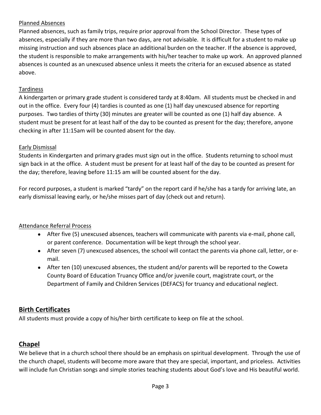#### Planned Absences

Planned absences, such as family trips, require prior approval from the School Director. These types of absences, especially if they are more than two days, are not advisable. It is difficult for a student to make up missing instruction and such absences place an additional burden on the teacher. If the absence is approved, the student is responsible to make arrangements with his/her teacher to make up work. An approved planned absences is counted as an unexcused absence unless it meets the criteria for an excused absence as stated above.

#### Tardiness

A kindergarten or primary grade student is considered tardy at 8:40am. All students must be checked in and out in the office. Every four (4) tardies is counted as one (1) half day unexcused absence for reporting purposes. Two tardies of thirty (30) minutes are greater will be counted as one (1) half day absence. A student must be present for at least half of the day to be counted as present for the day; therefore, anyone checking in after 11:15am will be counted absent for the day.

#### Early Dismissal

Students in Kindergarten and primary grades must sign out in the office. Students returning to school must sign back in at the office. A student must be present for at least half of the day to be counted as present for the day; therefore, leaving before 11:15 am will be counted absent for the day.

For record purposes, a student is marked "tardy" on the report card if he/she has a tardy for arriving late, an early dismissal leaving early, or he/she misses part of day (check out and return).

#### Attendance Referral Process

- After five (5) unexcused absences, teachers will communicate with parents via e-mail, phone call, or parent conference. Documentation will be kept through the school year.
- After seven (7) unexcused absences, the school will contact the parents via phone call, letter, or email.
- After ten (10) unexcused absences, the student and/or parents will be reported to the Coweta County Board of Education Truancy Office and/or juvenile court, magistrate court, or the Department of Family and Children Services (DEFACS) for truancy and educational neglect.

#### **Birth Certificates**

All students must provide a copy of his/her birth certificate to keep on file at the school.

#### **Chapel**

We believe that in a church school there should be an emphasis on spiritual development. Through the use of the church chapel, students will become more aware that they are special, important, and priceless. Activities will include fun Christian songs and simple stories teaching students about God's love and His beautiful world.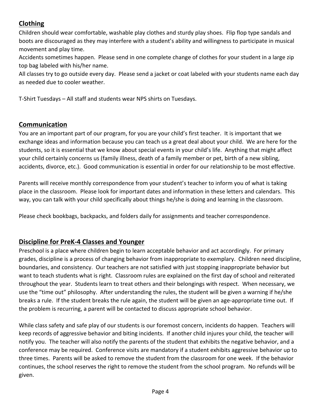#### **Clothing**

Children should wear comfortable, washable play clothes and sturdy play shoes. Flip flop type sandals and boots are discouraged as they may interfere with a student's ability and willingness to participate in musical movement and play time.

Accidents sometimes happen. Please send in one complete change of clothes for your student in a large zip top bag labeled with his/her name.

All classes try to go outside every day. Please send a jacket or coat labeled with your students name each day as needed due to cooler weather.

T-Shirt Tuesdays – All staff and students wear NPS shirts on Tuesdays.

#### **Communication**

You are an important part of our program, for you are your child's first teacher. It is important that we exchange ideas and information because you can teach us a great deal about your child. We are here for the students, so it is essential that we know about special events in your child's life. Anything that might affect your child certainly concerns us (family illness, death of a family member or pet, birth of a new sibling, accidents, divorce, etc.). Good communication is essential in order for our relationship to be most effective.

Parents will receive monthly correspondence from your student's teacher to inform you of what is taking place in the classroom. Please look for important dates and information in these letters and calendars. This way, you can talk with your child specifically about things he/she is doing and learning in the classroom.

Please check bookbags, backpacks, and folders daily for assignments and teacher correspondence.

#### **Discipline for PreK-4 Classes and Younger**

Preschool is a place where children begin to learn acceptable behavior and act accordingly. For primary grades, discipline is a process of changing behavior from inappropriate to exemplary. Children need discipline, boundaries, and consistency. Our teachers are not satisfied with just stopping inappropriate behavior but want to teach students what is right. Classroom rules are explained on the first day of school and reiterated throughout the year. Students learn to treat others and their belongings with respect. When necessary, we use the "time out" philosophy. After understanding the rules, the student will be given a warning if he/she breaks a rule. If the student breaks the rule again, the student will be given an age-appropriate time out. If the problem is recurring, a parent will be contacted to discuss appropriate school behavior.

While class safety and safe play of our students is our foremost concern, incidents do happen. Teachers will keep records of aggressive behavior and biting incidents. If another child injures your child, the teacher will notify you. The teacher will also notify the parents of the student that exhibits the negative behavior, and a conference may be required. Conference visits are mandatory if a student exhibits aggressive behavior up to three times. Parents will be asked to remove the student from the classroom for one week. If the behavior continues, the school reserves the right to remove the student from the school program. No refunds will be given.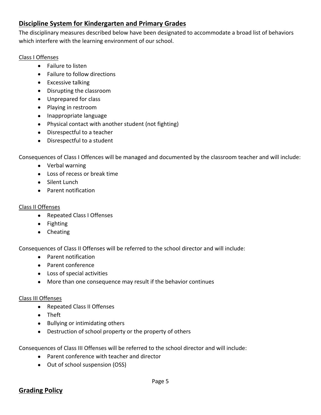#### **Discipline System for Kindergarten and Primary Grades**

The disciplinary measures described below have been designated to accommodate a broad list of behaviors which interfere with the learning environment of our school.

#### Class I Offenses

- Failure to listen
- Failure to follow directions
- Excessive talking
- Disrupting the classroom
- Unprepared for class
- Playing in restroom
- Inappropriate language
- Physical contact with another student (not fighting)
- Disrespectful to a teacher
- Disrespectful to a student

Consequences of Class I Offences will be managed and documented by the classroom teacher and will include:

- Verbal warning
- Loss of recess or break time
- Silent Lunch
- Parent notification

#### Class II Offenses

- Repeated Class I Offenses
- Fighting
- Cheating

Consequences of Class II Offenses will be referred to the school director and will include:

- Parent notification
- Parent conference
- Loss of special activities
- More than one consequence may result if the behavior continues

#### Class III Offenses

- Repeated Class II Offenses
- Theft
- Bullying or intimidating others
- Destruction of school property or the property of others

Consequences of Class III Offenses will be referred to the school director and will include:

- Parent conference with teacher and director
- Out of school suspension (OSS)

#### **Grading Policy**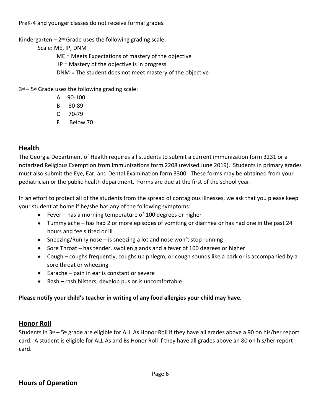PreK-4 and younger classes do not receive formal grades.

Kindergarten  $-2^{nd}$  Grade uses the following grading scale:

Scale: ME, IP, DNM

ME = Meets Expectations of mastery of the objective

IP = Mastery of the objective is in progress

DNM = The student does not meet mastery of the objective

 $3<sup>rd</sup> - 5<sup>th</sup>$  Grade uses the following grading scale:

- A 90-100
- B 80-89
- C 70-79
- F Below 70

#### **Health**

The Georgia Department of Health requires all students to submit a current immunization form 3231 or a notarized Religious Exemption from Immunizations form 2208 (revised June 2019). Students in primary grades must also submit the Eye, Ear, and Dental Examination form 3300. These forms may be obtained from your pediatrician or the public health department. Forms are due at the first of the school year.

In an effort to protect all of the students from the spread of contagious illnesses, we ask that you please keep your student at home if he/she has any of the following symptoms:

- Fever has a morning temperature of 100 degrees or higher
- Tummy ache has had 2 or more episodes of vomiting or diarrhea or has had one in the past 24 hours and feels tired or ill
- Sneezing/Runny nose is sneezing a lot and nose won't stop running
- Sore Throat has tender, swollen glands and a fever of 100 degrees or higher
- Cough coughs frequently, coughs up phlegm, or cough sounds like a bark or is accompanied by a sore throat or wheezing
- $\bullet$  Earache pain in ear is constant or severe
- Rash rash blisters, develop pus or is uncomfortable

#### **Please notify your child's teacher in writing of any food allergies your child may have.**

#### **Honor Roll**

Students in  $3^{rd}$  – 5<sup>th</sup> grade are eligible for ALL As Honor Roll if they have all grades above a 90 on his/her report card. A student is eligible for ALL As and Bs Honor Roll if they have all grades above an 80 on his/her report card.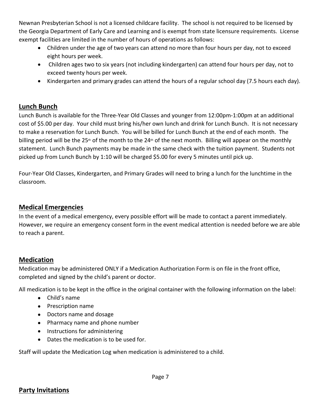Newnan Presbyterian School is not a licensed childcare facility. The school is not required to be licensed by the Georgia Department of Early Care and Learning and is exempt from state licensure requirements. License exempt facilities are limited in the number of hours of operations as follows:

- Children under the age of two years can attend no more than four hours per day, not to exceed eight hours per week.
- Children ages two to six years (not including kindergarten) can attend four hours per day, not to exceed twenty hours per week.
- Kindergarten and primary grades can attend the hours of a regular school day (7.5 hours each day).

#### **Lunch Bunch**

Lunch Bunch is available for the Three-Year Old Classes and younger from 12:00pm-1:00pm at an additional cost of \$5.00 per day. Your child must bring his/her own lunch and drink for Lunch Bunch. It is not necessary to make a reservation for Lunch Bunch. You will be billed for Lunch Bunch at the end of each month. The billing period will be the 25<sup>th</sup> of the month to the 24<sup>th</sup> of the next month. Billing will appear on the monthly statement. Lunch Bunch payments may be made in the same check with the tuition payment. Students not picked up from Lunch Bunch by 1:10 will be charged \$5.00 for every 5 minutes until pick up.

Four-Year Old Classes, Kindergarten, and Primary Grades will need to bring a lunch for the lunchtime in the classroom.

#### **Medical Emergencies**

In the event of a medical emergency, every possible effort will be made to contact a parent immediately. However, we require an emergency consent form in the event medical attention is needed before we are able to reach a parent.

#### **Medication**

Medication may be administered ONLY if a Medication Authorization Form is on file in the front office, completed and signed by the child's parent or doctor.

All medication is to be kept in the office in the original container with the following information on the label:

- Child's name
- Prescription name
- Doctors name and dosage
- Pharmacy name and phone number
- Instructions for administering
- Dates the medication is to be used for.

Staff will update the Medication Log when medication is administered to a child.

#### **Party Invitations**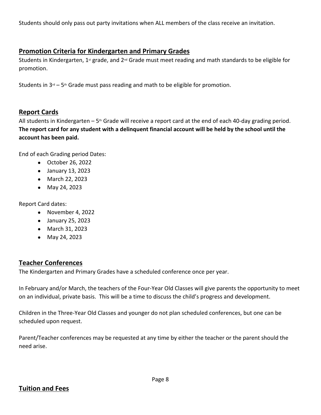Students should only pass out party invitations when ALL members of the class receive an invitation.

#### **Promotion Criteria for Kindergarten and Primary Grades**

Students in Kindergarten, 1<sup>st</sup> grade, and 2<sup>nd</sup> Grade must meet reading and math standards to be eligible for promotion.

Students in  $3<sup>rd</sup> - 5<sup>th</sup>$  Grade must pass reading and math to be eligible for promotion.

#### **Report Cards**

All students in Kindergarten –  $5<sup>th</sup>$  Grade will receive a report card at the end of each 40-day grading period. **The report card for any student with a delinquent financial account will be held by the school until the account has been paid.**

End of each Grading period Dates:

- October 26, 2022
- January 13, 2023
- March 22, 2023
- May 24, 2023

Report Card dates:

- November 4, 2022
- January 25, 2023
- March 31, 2023
- May 24, 2023

#### **Teacher Conferences**

The Kindergarten and Primary Grades have a scheduled conference once per year.

In February and/or March, the teachers of the Four-Year Old Classes will give parents the opportunity to meet on an individual, private basis. This will be a time to discuss the child's progress and development.

Children in the Three-Year Old Classes and younger do not plan scheduled conferences, but one can be scheduled upon request.

Parent/Teacher conferences may be requested at any time by either the teacher or the parent should the need arise.